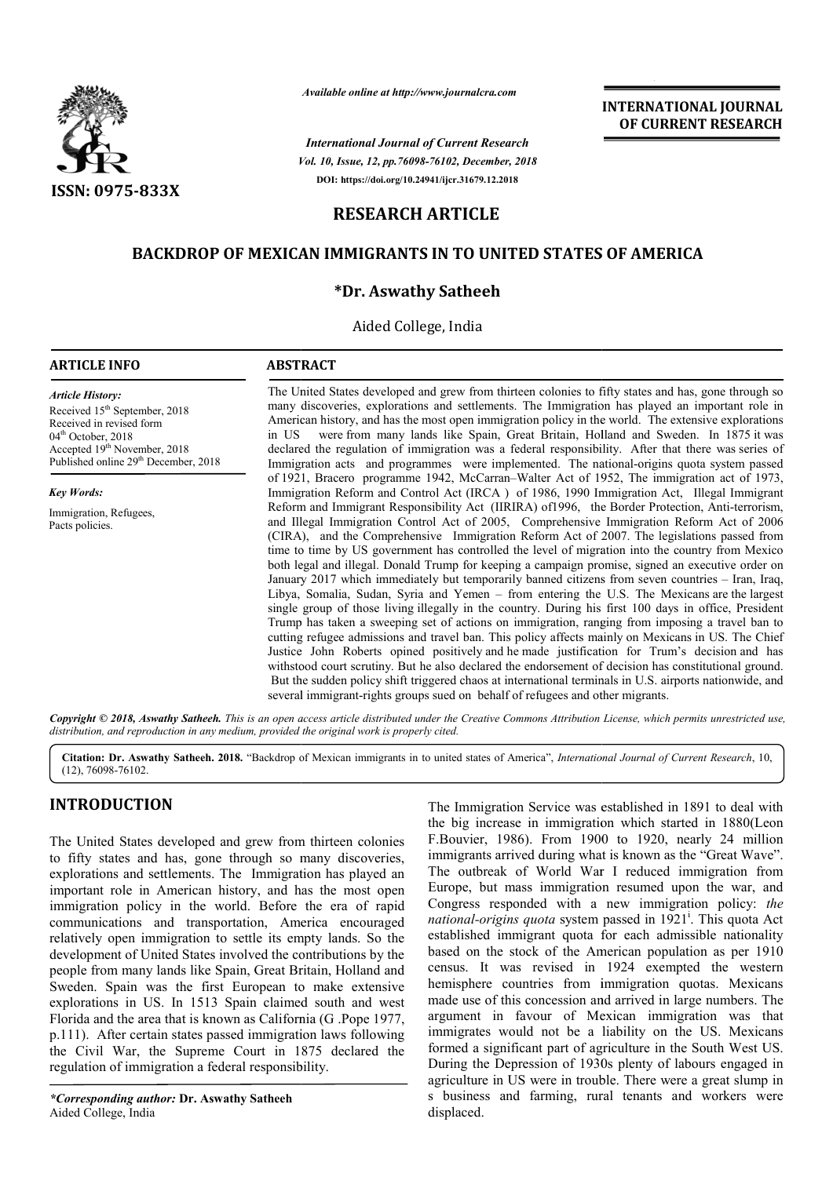

*Available online at http://www.journalcra.com*

*Vol. 10, Issue, 12, pp.76098-76102, December, 2018 International Journal of Current Research* **DOI: https://doi.org/10.24941/ijcr.31679.12.2018**

## **INTERNATIONAL JOURNAL OF CURRENT RESEARCH**

# **RESEARCH ARTICLE**

# **BACKDROP OF MEXICAN IMMIGRANTS IN TO UNITED STATES OF AMERICA**

## **\*Dr. Aswathy Satheeh**

Aided College, India

## **ARTICLE INFO ABSTRACT**

Received 15<sup>th</sup> September, 2018 Received in revised form 04<sup>th</sup> October, 2018

Accepted  $19^{th}$  November, 2018 Published online 29<sup>th</sup> December, 2018

*Article History:*

*Key Words:*

Immigration, Refugees, Pacts policies.

The United States developed and grew from thirteen colonies to fifty states and has, gone through so many discoveries, explorations and settlements. The Immigration has played an important role in American history, and has the most open immigration policy in the world. in US declared the regulation of immigration was a federal responsibility. After that there was series of Immigration acts and programmes were implemented. The national-origins quota system passed of 1921, Bracero programme 1942, McCarran–Walter Act of 1952, The immigration act of 1973, Immigration Reform and Control Act (IRCA ) of 1986, 1990 Immigration Act, Illegal Immigrant Reform and Immigrant Responsibility Act (IIRIRA) of 1996, the Border Protection, Anti-terrorism, and Illegal Immigration Control Act of 2005, Comprehensive Immigration Reform Act of 2006 (CIRA), and the Comprehensive Immigration Reform Act of 2007. The legislations passed from time to time by US government has controlled the level of migration into the country from Mexico both legal and illegal. Donald Trump for keeping a campaign promise, signed an executive order on January 2017 which immediately but temporarily banned citizens from seven countries - Iran, Iraq, January 2017 which immediately but temporarily banned citizens from seven countries – Iran, Iraq, Libya, Somalia, Sudan, Syria and Yemen – from entering the U.S. The Mexicans are the largest single group of those living illegally in the country. During his first 100 days in office, President Trump has taken a sweeping set of actions on immigration, ranging from imposing a travel ban to Trump has taken a sweeping set of actions on immigration, ranging from imposing a travel ban to cutting refugee admissions and travel ban. This policy affects mainly on Mexicans in US. The Chief Justice John Roberts opined positively and he made justification for Trum's decision and has withstood court scrutiny. But he also declared the endorsement of decision has constitutional ground. But the sudden policy shift triggered chaos at international terminals in U.S. airports nationwide, and several immigrant-rights groups sued on behalf of refugees and other migrants. were from many lands like Spain, Great Britain, Holland and Sweden. In 1875 it was The United States developed and grew from thirteen colonies to fifty states and has, gone through so many discoveries, explorations and settlements. The Immigration has played an important role in American history, and has and Illegal Immigration Control Act of 2005, Comprehensive Immigration Reform Act of 2006 (CIRA), and the Comprehensive Immigration Reform Act of 2007. The legislations passed from time to time by US government has control **INTERNATIONAL JOURNAL TOWAL CONTROVAL JOURNAL CONTROVAL CONTROVAL DECORDENT RESEARCH TAND DECORD TO A CONTROVAL CONTROVAL CONTROVAL CONTROVAL CONTROVAL CONTROVAL CONTROVAL CONTROVAL CONTROVAL CONTROVAL CONTROVAL CONTROVA** 

Copyright © 2018, Aswathy Satheeh. This is an open access article distributed under the Creative Commons Attribution License, which permits unrestricted use, *distribution, and reproduction in any medium, provided the original work is properly cited.*

Citation: Dr. Aswathy Satheeh. 2018. "Backdrop of Mexican immigrants in to united states of America", *International Journal of Current Research*, 10, (12), 76098-76102.

# **INTRODUCTION**

The United States developed and grew from thirteen colonies to fifty states and has, gone through so many discoveries, explorations and settlements. The Immigration has played an important role in American history, and has the most open immigration policy in the world. Before the era of rapid communications and transportation, America encouraged relatively open immigration to settle its empty lands. So the development of United States involved the contributions by the people from many lands like Spain, Great Britain, Holland and Sweden. Spain was the first European to make extensive explorations in US. In 1513 Spain claimed south and west Florida and the area that is known as California (G .Pope 1977, p.111). After certain states passed immigration laws following the Civil War, the Supreme Court in 1875 declared the regulation of immigration a federal responsibility.

*\*Corresponding author:* **Dr. Aswathy Satheeh** Aided College, India

The Immigration Service was established in 1891 to deal with the big increase in immigration which started in 1880(Leon F.Bouvier, 1986). From 1900 to 1920, nearly 24 million immigrants arrived during what is known as the "Great Wave". The outbreak of World War I reduced immigration from Europe, but mass immigration resumed upon the war, and Congress responded with a new immigration policy: *the*  national-origins quota system passed in 1921<sup>i</sup>. This quota Act established immigrant quota for each admissible nationality based on the stock of the American population as per 1910 census. It was revised in 1924 exempted the western hemisphere countries from immigration quotas. Mexicans made use of this concession and arrived in large numbers. The argument in favour of Mexican immigration was that immigrates would not be a liability on the US. Mexicans formed a significant part of agriculture in the South West US. During the Depression of 1930s plenty of labours engaged in agriculture in US were in trouble. There were a great slump in s business and farming, rural tenants and workers were displaced. Service was established in 1891 to deal with<br>in immigration which started in 1880(Leon<br>). From 1900 to 1920, nearly 24 million<br>d during what is known as the "Great Wave".<br>`World War I reduced immigration from<br>s immigration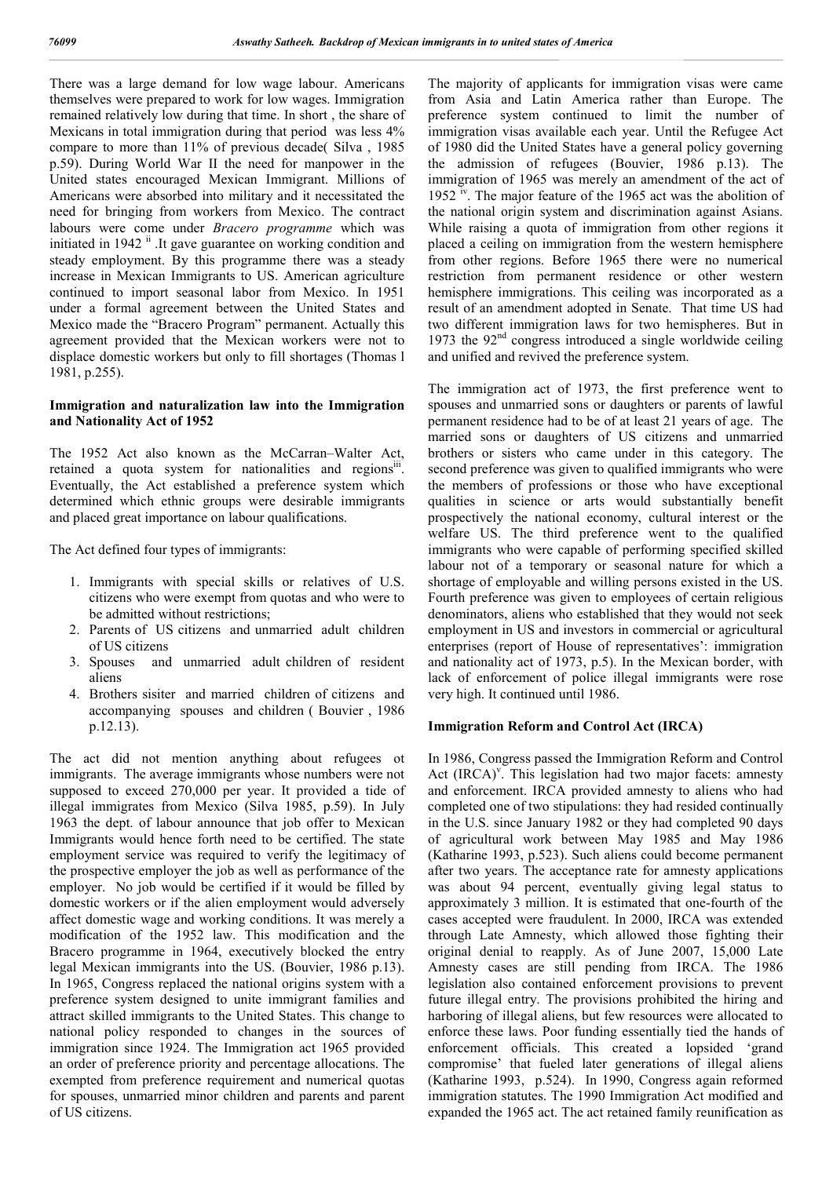There was a large demand for low wage labour. Americans themselves were prepared to work for low wages. Immigration remained relatively low during that time. In short , the share of Mexicans in total immigration during that period was less 4% compare to more than 11% of previous decade( Silva , 1985 p.59). During World War II the need for manpower in the United states encouraged Mexican Immigrant. Millions of Americans were absorbed into military and it necessitated the need for bringing from workers from Mexico. The contract labours were come under *Bracero programme* which was initiated in 1942<sup>ii</sup>. It gave guarantee on working condition and steady employment. By this programme there was a steady increase in Mexican Immigrants to US. American agriculture continued to import seasonal labor from Mexico. In 1951 under a formal agreement between the United States and Mexico made the "Bracero Program" permanent. Actually this agreement provided that the Mexican workers were not to displace domestic workers but only to fill shortages (Thomas l 1981, p.255).

## **Immigration and naturalization law into the Immigration and Nationality Act of 1952**

The 1952 Act also known as the McCarran–Walter Act, retained a quota system for nationalities and regionsii. Eventually, the Act established a preference system which determined which ethnic groups were desirable immigrants and placed great importance on labour qualifications.

The Act defined four types of immigrants:

- 1. Immigrants with special skills or relatives of U.S. citizens who were exempt from quotas and who were to be admitted without restrictions;
- 2. Parents of US citizens and unmarried adult children of US citizens
- 3. Spouses and unmarried adult children of resident aliens
- 4. Brothers sisiter and married children of citizens and accompanying spouses and children ( Bouvier , 1986 p.12.13).

The act did not mention anything about refugees ot immigrants. The average immigrants whose numbers were not supposed to exceed 270,000 per year. It provided a tide of illegal immigrates from Mexico (Silva 1985, p.59). In July 1963 the dept. of labour announce that job offer to Mexican Immigrants would hence forth need to be certified. The state employment service was required to verify the legitimacy of the prospective employer the job as well as performance of the employer. No job would be certified if it would be filled by domestic workers or if the alien employment would adversely affect domestic wage and working conditions. It was merely a modification of the 1952 law. This modification and the Bracero programme in 1964, executively blocked the entry legal Mexican immigrants into the US. (Bouvier, 1986 p.13). In 1965, Congress replaced the national origins system with a preference system designed to unite immigrant families and attract skilled immigrants to the United States. This change to national policy responded to changes in the sources of immigration since 1924. The Immigration act 1965 provided an order of preference priority and percentage allocations. The exempted from preference requirement and numerical quotas for spouses, unmarried minor children and parents and parent of US citizens.

The majority of applicants for immigration visas were came from Asia and Latin America rather than Europe. The preference system continued to limit the number of immigration visas available each year. Until the Refugee Act of 1980 did the United States have a general policy governing the admission of refugees (Bouvier, 1986 p.13). The immigration of 1965 was merely an amendment of the act of 1952 <sup>iv</sup>. The major feature of the 1965 act was the abolition of the national origin system and discrimination against Asians. While raising a quota of immigration from other regions it placed a ceiling on immigration from the western hemisphere from other regions. Before 1965 there were no numerical restriction from permanent residence or other western hemisphere immigrations. This ceiling was incorporated as a result of an amendment adopted in Senate. That time US had two different immigration laws for two hemispheres. But in 1973 the  $92<sup>nd</sup>$  congress introduced a single worldwide ceiling and unified and revived the preference system.

The immigration act of 1973, the first preference went to spouses and unmarried sons or daughters or parents of lawful permanent residence had to be of at least 21 years of age. The married sons or daughters of US citizens and unmarried brothers or sisters who came under in this category. The second preference was given to qualified immigrants who were the members of professions or those who have exceptional qualities in science or arts would substantially benefit prospectively the national economy, cultural interest or the welfare US. The third preference went to the qualified immigrants who were capable of performing specified skilled labour not of a temporary or seasonal nature for which a shortage of employable and willing persons existed in the US. Fourth preference was given to employees of certain religious denominators, aliens who established that they would not seek employment in US and investors in commercial or agricultural enterprises (report of House of representatives': immigration and nationality act of 1973, p.5). In the Mexican border, with lack of enforcement of police illegal immigrants were rose very high. It continued until 1986.

## **Immigration Reform and Control Act (IRCA)**

In 1986, Congress passed the Immigration Reform and Control Act (IRCA)<sup>v</sup>. This legislation had two major facets: amnesty and enforcement. IRCA provided amnesty to aliens who had completed one of two stipulations: they had resided continually in the U.S. since January 1982 or they had completed 90 days of agricultural work between May 1985 and May 1986 (Katharine 1993, p.523). Such aliens could become permanent after two years. The acceptance rate for amnesty applications was about 94 percent, eventually giving legal status to approximately 3 million. It is estimated that one-fourth of the cases accepted were fraudulent. In 2000, IRCA was extended through Late Amnesty, which allowed those fighting their original denial to reapply. As of June 2007, 15,000 Late Amnesty cases are still pending from IRCA. The 1986 legislation also contained enforcement provisions to prevent future illegal entry. The provisions prohibited the hiring and harboring of illegal aliens, but few resources were allocated to enforce these laws. Poor funding essentially tied the hands of enforcement officials. This created a lopsided 'grand compromise' that fueled later generations of illegal aliens (Katharine 1993, p.524). In 1990, Congress again reformed immigration statutes. The 1990 Immigration Act modified and expanded the 1965 act. The act retained family reunification as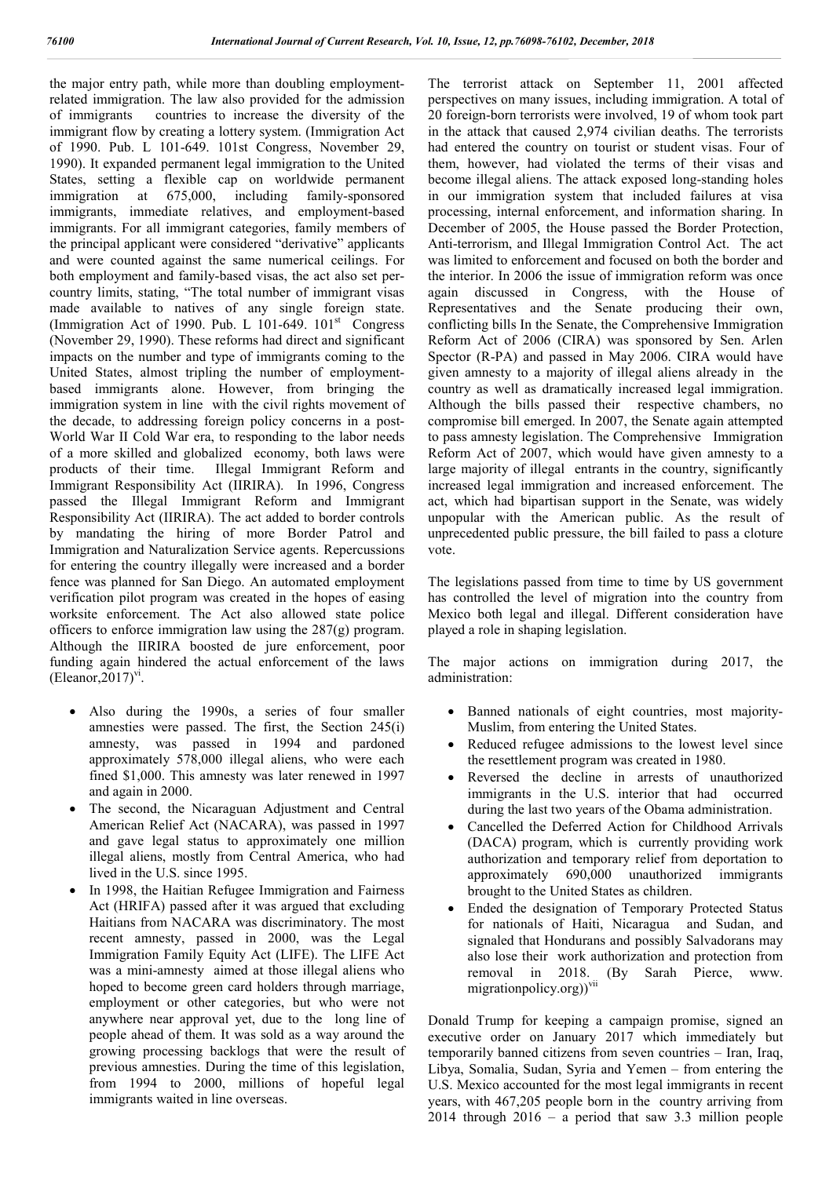the major entry path, while more than doubling employmentrelated immigration. The law also provided for the admission of immigrants countries to increase the diversity of the immigrant flow by creating a lottery system. (Immigration Act of 1990. Pub. L 101-649. 101st Congress, November 29, 1990). It expanded permanent legal immigration to the United States, setting a flexible cap on worldwide permanent immigration at 675,000, including family-sponsored immigrants, immediate relatives, and employment-based immigrants. For all immigrant categories, family members of the principal applicant were considered "derivative" applicants and were counted against the same numerical ceilings. For both employment and family-based visas, the act also set percountry limits, stating, "The total number of immigrant visas made available to natives of any single foreign state. (Immigration Act of 1990. Pub. L  $101-649$ .  $101<sup>st</sup>$  Congress (November 29, 1990). These reforms had direct and significant impacts on the number and type of immigrants coming to the United States, almost tripling the number of employmentbased immigrants alone. However, from bringing the immigration system in line with the civil rights movement of the decade, to addressing foreign policy concerns in a post-World War II Cold War era, to responding to the labor needs of a more skilled and globalized economy, both laws were products of their time. Illegal Immigrant Reform and Immigrant Responsibility Act (IIRIRA). In 1996, Congress passed the Illegal Immigrant Reform and Immigrant Responsibility Act (IIRIRA). The act added to border controls by mandating the hiring of more Border Patrol and Immigration and Naturalization Service agents. Repercussions for entering the country illegally were increased and a border fence was planned for San Diego. An automated employment verification pilot program was created in the hopes of easing worksite enforcement. The Act also allowed state police officers to enforce immigration law using the 287(g) program. Although the IIRIRA boosted de jure enforcement, poor funding again hindered the actual enforcement of the laws  $(Eleanor, 2017)$ <sup>vi</sup>.

- Also during the 1990s, a series of four smaller amnesties were passed. The first, the Section 245(i) amnesty, was passed in 1994 and pardoned approximately 578,000 illegal aliens, who were each fined \$1,000. This amnesty was later renewed in 1997 and again in 2000.
- The second, the Nicaraguan Adjustment and Central American Relief Act (NACARA), was passed in 1997 and gave legal status to approximately one million illegal aliens, mostly from Central America, who had lived in the U.S. since 1995.
- In 1998, the Haitian Refugee Immigration and Fairness Act (HRIFA) passed after it was argued that excluding Haitians from NACARA was discriminatory. The most recent amnesty, passed in 2000, was the Legal Immigration Family Equity Act (LIFE). The LIFE Act was a mini-amnesty aimed at those illegal aliens who hoped to become green card holders through marriage, employment or other categories, but who were not anywhere near approval yet, due to the long line of people ahead of them. It was sold as a way around the growing processing backlogs that were the result of previous amnesties. During the time of this legislation, from 1994 to 2000, millions of hopeful legal immigrants waited in line overseas.

The terrorist attack on September 11, 2001 affected perspectives on many issues, including immigration. A total of 20 foreign-born terrorists were involved, 19 of whom took part in the attack that caused 2,974 civilian deaths. The terrorists had entered the country on tourist or student visas. Four of them, however, had violated the terms of their visas and become illegal aliens. The attack exposed long-standing holes in our immigration system that included failures at visa processing, internal enforcement, and information sharing. In December of 2005, the House passed the Border Protection, Anti-terrorism, and Illegal Immigration Control Act. The act was limited to enforcement and focused on both the border and the interior. In 2006 the issue of immigration reform was once again discussed in Congress, with the House of Representatives and the Senate producing their own, conflicting bills In the Senate, the Comprehensive Immigration Reform Act of 2006 (CIRA) was sponsored by Sen. Arlen Spector (R-PA) and passed in May 2006. CIRA would have given amnesty to a majority of illegal aliens already in the country as well as dramatically increased legal immigration. Although the bills passed their respective chambers, no compromise bill emerged. In 2007, the Senate again attempted to pass amnesty legislation. The Comprehensive Immigration Reform Act of 2007, which would have given amnesty to a large majority of illegal entrants in the country, significantly increased legal immigration and increased enforcement. The act, which had bipartisan support in the Senate, was widely unpopular with the American public. As the result of unprecedented public pressure, the bill failed to pass a cloture vote.

The legislations passed from time to time by US government has controlled the level of migration into the country from Mexico both legal and illegal. Different consideration have played a role in shaping legislation.

The major actions on immigration during 2017, the administration:

- Banned nationals of eight countries, most majority-Muslim, from entering the United States.
- Reduced refugee admissions to the lowest level since the resettlement program was created in 1980.
- Reversed the decline in arrests of unauthorized immigrants in the U.S. interior that had occurred during the last two years of the Obama administration.
- Cancelled the Deferred Action for Childhood Arrivals (DACA) program, which is currently providing work authorization and temporary relief from deportation to approximately 690,000 unauthorized immigrants brought to the United States as children.
- Ended the designation of Temporary Protected Status for nationals of Haiti, Nicaragua and Sudan, and signaled that Hondurans and possibly Salvadorans may also lose their work authorization and protection from removal in 2018. (By Sarah Pierce, www. migrationpolicy.org))<sup>vii</sup>

Donald Trump for keeping a campaign promise, signed an executive order on January 2017 which immediately but temporarily banned citizens from seven countries – Iran, Iraq, Libya, Somalia, Sudan, Syria and Yemen – from entering the U.S. Mexico accounted for the most legal immigrants in recent years, with 467,205 people born in the country arriving from 2014 through 2016 – a period that saw 3.3 million people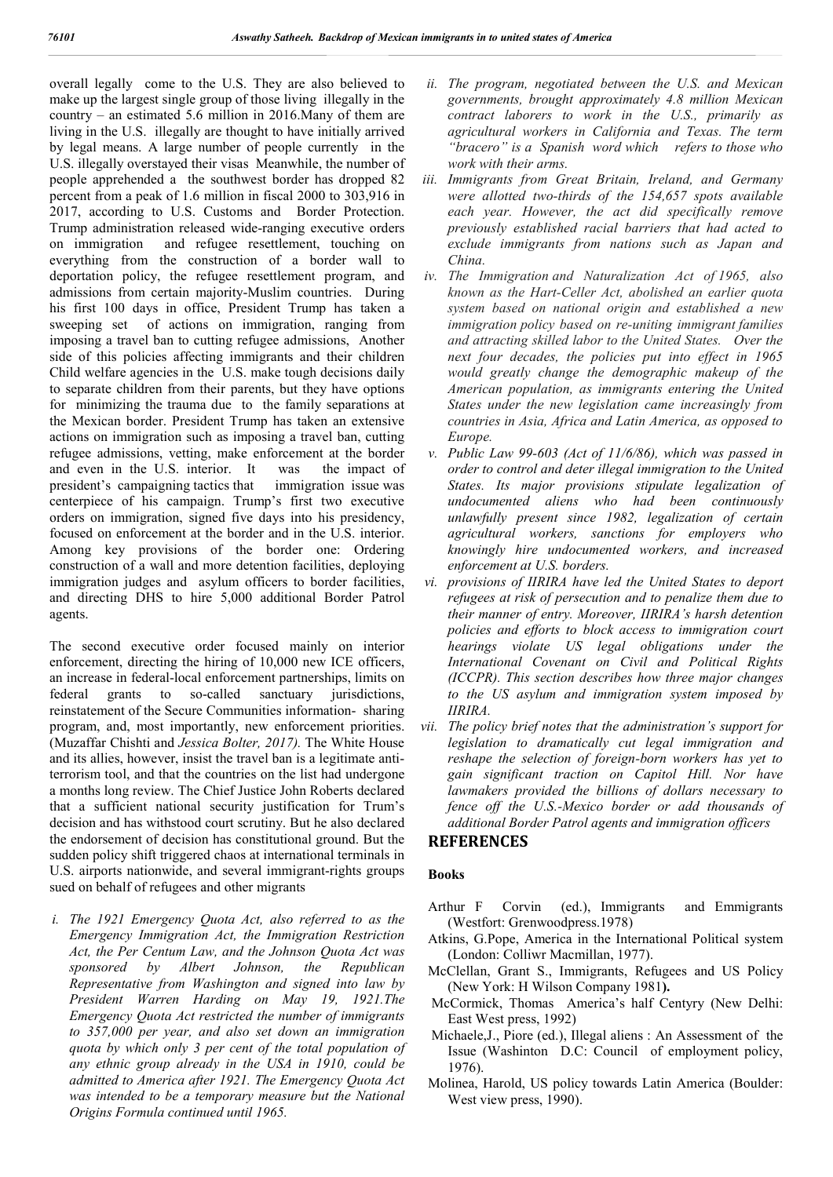overall legally come to the U.S. They are also believed to make up the largest single group of those living illegally in the country – an estimated 5.6 million in 2016.Many of them are living in the U.S. illegally are thought to have initially arrived by legal means. A large number of people currently in the U.S. illegally overstayed their visas Meanwhile, the number of people apprehended a the southwest border has dropped 82 percent from a peak of 1.6 million in fiscal 2000 to 303,916 in 2017, according to U.S. Customs and Border Protection. Trump administration released wide-ranging executive orders on immigration and refugee resettlement, touching on everything from the construction of a border wall to deportation policy, the refugee resettlement program, and admissions from certain majority-Muslim countries. During his first 100 days in office, President Trump has taken a sweeping set of actions on immigration, ranging from imposing a travel ban to cutting refugee admissions, Another side of this policies affecting immigrants and their children Child welfare agencies in the U.S. make tough decisions daily to separate children from their parents, but they have options for minimizing the trauma due to the family separations at the Mexican border. President Trump has taken an extensive actions on immigration such as imposing a travel ban, cutting refugee admissions, vetting, make enforcement at the border and even in the U.S. interior. It was the impact of president's campaigning tactics that immigration issue was centerpiece of his campaign. Trump's first two executive orders on immigration, signed five days into his presidency, focused on enforcement at the border and in the U.S. interior. Among key provisions of the border one: Ordering construction of a wall and more detention facilities, deploying immigration judges and asylum officers to border facilities, and directing DHS to hire 5,000 additional Border Patrol agents.

The second executive order focused mainly on interior enforcement, directing the hiring of 10,000 new ICE officers, an increase in federal-local enforcement partnerships, limits on federal grants to so-called sanctuary jurisdictions, reinstatement of the Secure Communities information- sharing program, and, most importantly, new enforcement priorities. (Muzaffar Chishti and *Jessica Bolter, 2017).* The White House and its allies, however, insist the travel ban is a legitimate antiterrorism tool, and that the countries on the list had undergone a months long review. The Chief Justice John Roberts declared that a sufficient national security justification for Trum's decision and has withstood court scrutiny. But he also declared the endorsement of decision has constitutional ground. But the sudden policy shift triggered chaos at international terminals in U.S. airports nationwide, and several immigrant-rights groups sued on behalf of refugees and other migrants

*i. The 1921 Emergency Quota Act, also referred to as the Emergency Immigration Act, the Immigration Restriction Act, the Per Centum Law, and the Johnson Quota Act was sponsored by Albert Johnson, the Republican Representative from Washington and signed into law by President Warren Harding on May 19, 1921.The Emergency Quota Act restricted the number of immigrants to 357,000 per year, and also set down an immigration quota by which only 3 per cent of the total population of any ethnic group already in the USA in 1910, could be admitted to America after 1921. The Emergency Quota Act was intended to be a temporary measure but the National Origins Formula continued until 1965.*

- *ii. The program, negotiated between the U.S. and Mexican governments, brought approximately 4.8 million Mexican contract laborers to work in the U.S., primarily as agricultural workers in California and Texas. The term "bracero" is a Spanish word which refers to those who work with their arms.*
- *iii. Immigrants from Great Britain, Ireland, and Germany were allotted two-thirds of the 154,657 spots available each year. However, the act did specifically remove previously established racial barriers that had acted to exclude immigrants from nations such as Japan and China.*
- *iv. The Immigration and Naturalization Act of 1965, also known as the Hart-Celler Act, abolished an earlier quota system based on national origin and established a new immigration policy based on re-uniting immigrant families and attracting skilled labor to the United States. Over the next four decades, the policies put into effect in 1965 would greatly change the demographic makeup of the American population, as immigrants entering the United States under the new legislation came increasingly from countries in Asia, Africa and Latin America, as opposed to Europe.*
- *v. Public Law 99-603 (Act of 11/6/86), which was passed in order to control and deter illegal immigration to the United States. Its major provisions stipulate legalization of undocumented aliens who had been continuously unlawfully present since 1982, legalization of certain agricultural workers, sanctions for employers who knowingly hire undocumented workers, and increased enforcement at U.S. borders.*
- *vi. provisions of IIRIRA have led the United States to deport refugees at risk of persecution and to penalize them due to their manner of entry. Moreover, IIRIRA's harsh detention policies and efforts to block access to immigration court hearings violate US legal obligations under the International Covenant on Civil and Political Rights (ICCPR). This section describes how three major changes to the US asylum and immigration system imposed by IIRIRA.*
- *vii. The policy brief notes that the administration's support for legislation to dramatically cut legal immigration and reshape the selection of foreign-born workers has yet to gain significant traction on Capitol Hill. Nor have lawmakers provided the billions of dollars necessary to fence off the U.S.-Mexico border or add thousands of additional Border Patrol agents and immigration officers*

## **REFERENCES**

### **Books**

- Arthur F Corvin (ed.), Immigrants and Emmigrants (Westfort: Grenwoodpress.1978)
- Atkins, G.Pope, America in the International Political system (London: Colliwr Macmillan, 1977).
- McClellan, Grant S., Immigrants, Refugees and US Policy (New York: H Wilson Company 1981**).**
- McCormick, Thomas America's half Centyry (New Delhi: East West press, 1992)
- Michaele,J., Piore (ed.), Illegal aliens : An Assessment of the Issue (Washinton D.C: Council of employment policy, 1976).
- Molinea, Harold, US policy towards Latin America (Boulder: West view press, 1990).